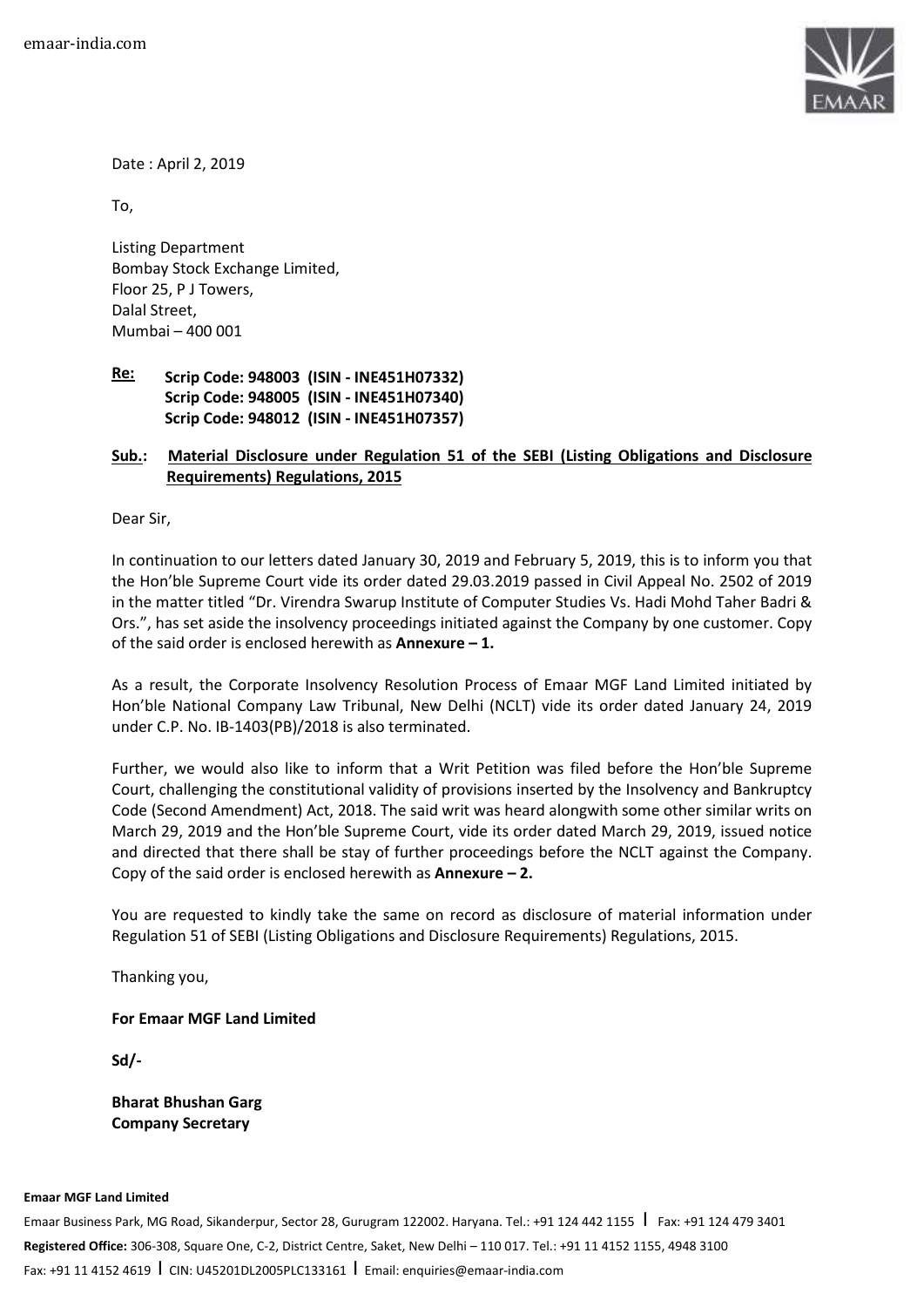

Date : April 2, 2019

To,

Listing Department Bombay Stock Exchange Limited, Floor 25, P J Towers, Dalal Street, Mumbai – 400 001

#### **Re: Scrip Code: 948003 (ISIN - INE451H07332) Scrip Code: 948005 (ISIN - INE451H07340) Scrip Code: 948012 (ISIN - INE451H07357)**

# **Sub.: Material Disclosure under Regulation 51 of the SEBI (Listing Obligations and Disclosure Requirements) Regulations, 2015**

Dear Sir,

In continuation to our letters dated January 30, 2019 and February 5, 2019, this is to inform you that the Hon'ble Supreme Court vide its order dated 29.03.2019 passed in Civil Appeal No. 2502 of 2019 in the matter titled "Dr. Virendra Swarup Institute of Computer Studies Vs. Hadi Mohd Taher Badri & Ors.", has set aside the insolvency proceedings initiated against the Company by one customer. Copy of the said order is enclosed herewith as **Annexure – 1.**

As a result, the Corporate Insolvency Resolution Process of Emaar MGF Land Limited initiated by Hon'ble National Company Law Tribunal, New Delhi (NCLT) vide its order dated January 24, 2019 under C.P. No. IB-1403(PB)/2018 is also terminated.

Further, we would also like to inform that a Writ Petition was filed before the Hon'ble Supreme Court, challenging the constitutional validity of provisions inserted by the Insolvency and Bankruptcy Code (Second Amendment) Act, 2018. The said writ was heard alongwith some other similar writs on March 29, 2019 and the Hon'ble Supreme Court, vide its order dated March 29, 2019, issued notice and directed that there shall be stay of further proceedings before the NCLT against the Company. Copy of the said order is enclosed herewith as **Annexure – 2.** 

You are requested to kindly take the same on record as disclosure of material information under Regulation 51 of SEBI (Listing Obligations and Disclosure Requirements) Regulations, 2015.

Thanking you,

## **For Emaar MGF Land Limited**

**Sd/-** 

**Bharat Bhushan Garg Company Secretary** 

#### **Emaar MGF Land Limited**

Emaar Business Park, MG Road, Sikanderpur, Sector 28, Gurugram 122002. Haryana. Tel.: +91 124 442 1155 | Fax: +91 124 479 3401 **Registered Office:** 306-308, Square One, C-2, District Centre, Saket, New Delhi – 110 017. Tel.: +91 11 4152 1155, 4948 3100 Fax: +91 11 4152 4619 I CIN: U45201DL2005PLC133161 I Email: enquiries@emaar-india.com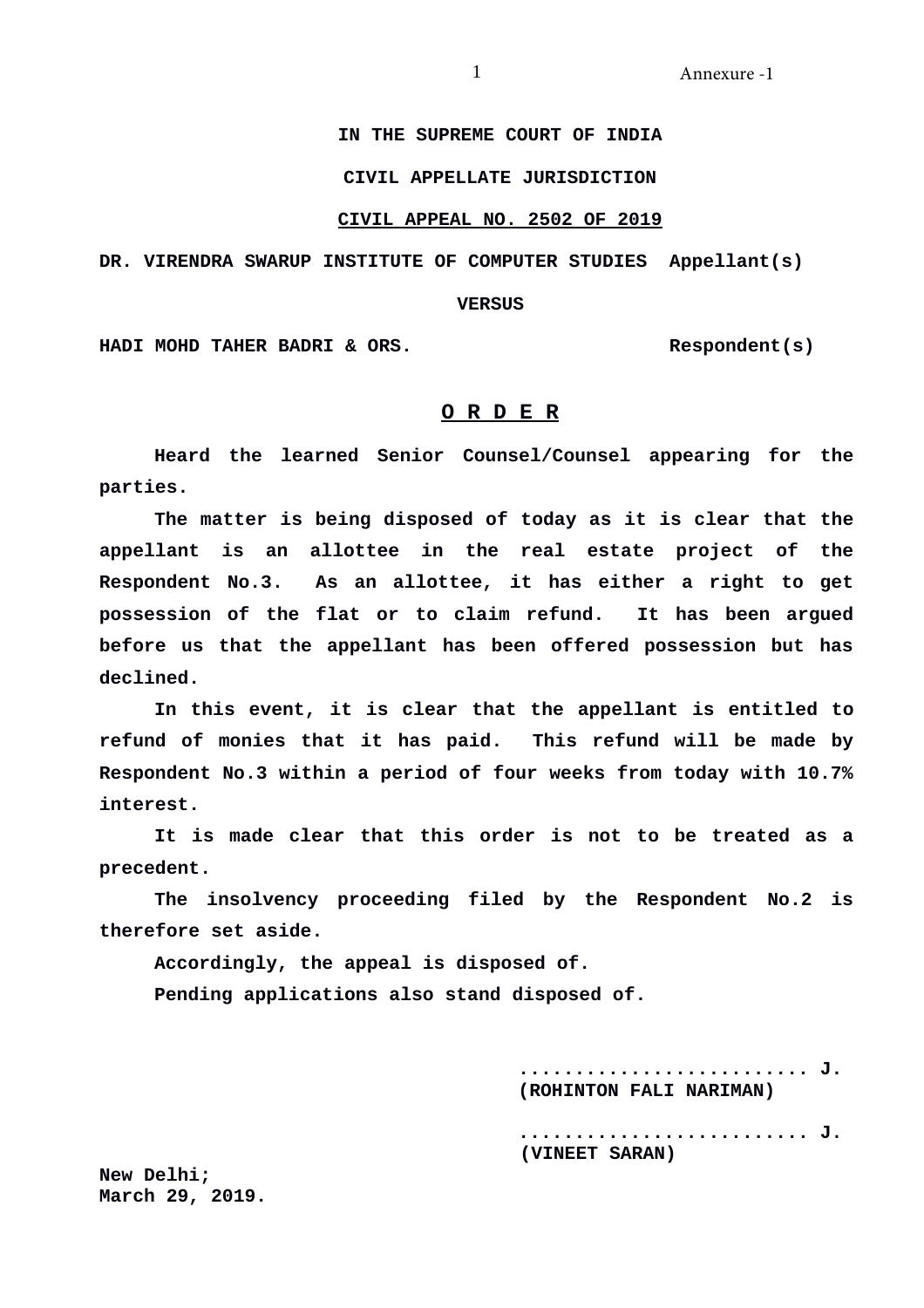# **IN THE SUPREME COURT OF INDIA**

# **CIVIL APPELLATE JURISDICTION**

# **CIVIL APPEAL NO. 2502 OF 2019**

**DR. VIRENDRA SWARUP INSTITUTE OF COMPUTER STUDIES Appellant(s)**

### **VERSUS**

**HADI MOHD TAHER BADRI & ORS. Respondent(s)**

# **O R D E R**

**Heard the learned Senior Counsel/Counsel appearing for the parties.** 

**The matter is being disposed of today as it is clear that the appellant is an allottee in the real estate project of the Respondent No.3. As an allottee, it has either a right to get possession of the flat or to claim refund. It has been argued before us that the appellant has been offered possession but has declined.**

**In this event, it is clear that the appellant is entitled to refund of monies that it has paid. This refund will be made by Respondent No.3 within a period of four weeks from today with 10.7% interest.**

**It is made clear that this order is not to be treated as a precedent.**

**The insolvency proceeding filed by the Respondent No.2 is therefore set aside.** 

**Accordingly, the appeal is disposed of.** 

**Pending applications also stand disposed of.**

 **.......................... J. (ROHINTON FALI NARIMAN)**

 **.......................... J. (VINEET SARAN)**

**New Delhi; March 29, 2019.**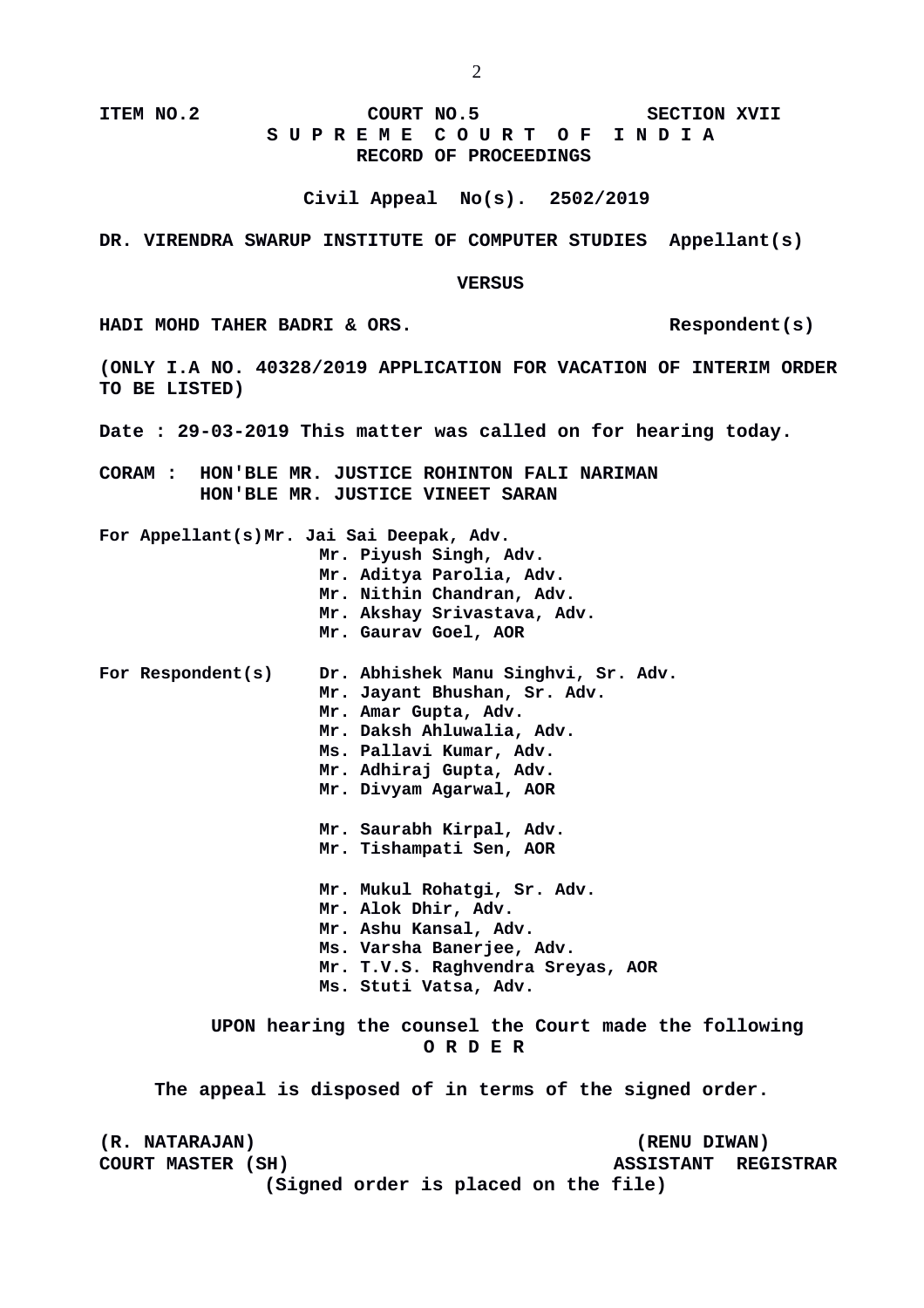# **ITEM NO.2 COURT NO.5 SECTION XVII S U P R E M E C O U R T O F I N D I A RECORD OF PROCEEDINGS**

**Civil Appeal No(s). 2502/2019**

## **DR. VIRENDRA SWARUP INSTITUTE OF COMPUTER STUDIES Appellant(s)**

**VERSUS**

**HADI MOHD TAHER BADRI & ORS. Respondent(s)** 

**(ONLY I.A NO. 40328/2019 APPLICATION FOR VACATION OF INTERIM ORDER TO BE LISTED)**

**Date : 29-03-2019 This matter was called on for hearing today.**

**CORAM : HON'BLE MR. JUSTICE ROHINTON FALI NARIMAN HON'BLE MR. JUSTICE VINEET SARAN**

**For Appellant(s)Mr. Jai Sai Deepak, Adv.**

- **Mr. Piyush Singh, Adv. Mr. Aditya Parolia, Adv. Mr. Nithin Chandran, Adv. Mr. Akshay Srivastava, Adv. Mr. Gaurav Goel, AOR**
- **For Respondent(s) Dr. Abhishek Manu Singhvi, Sr. Adv. Mr. Jayant Bhushan, Sr. Adv. Mr. Amar Gupta, Adv. Mr. Daksh Ahluwalia, Adv. Ms. Pallavi Kumar, Adv. Mr. Adhiraj Gupta, Adv. Mr. Divyam Agarwal, AOR**

**Mr. Saurabh Kirpal, Adv. Mr. Tishampati Sen, AOR**

**Mr. Mukul Rohatgi, Sr. Adv. Mr. Alok Dhir, Adv. Mr. Ashu Kansal, Adv. Ms. Varsha Banerjee, Adv. Mr. T.V.S. Raghvendra Sreyas, AOR Ms. Stuti Vatsa, Adv.** 

**UPON hearing the counsel the Court made the following O R D E R**

**The appeal is disposed of in terms of the signed order.** 

**(R. NATARAJAN) (RENU DIWAN) COURT MASTER (SH) ASSISTANT REGISTRAR (Signed order is placed on the file)**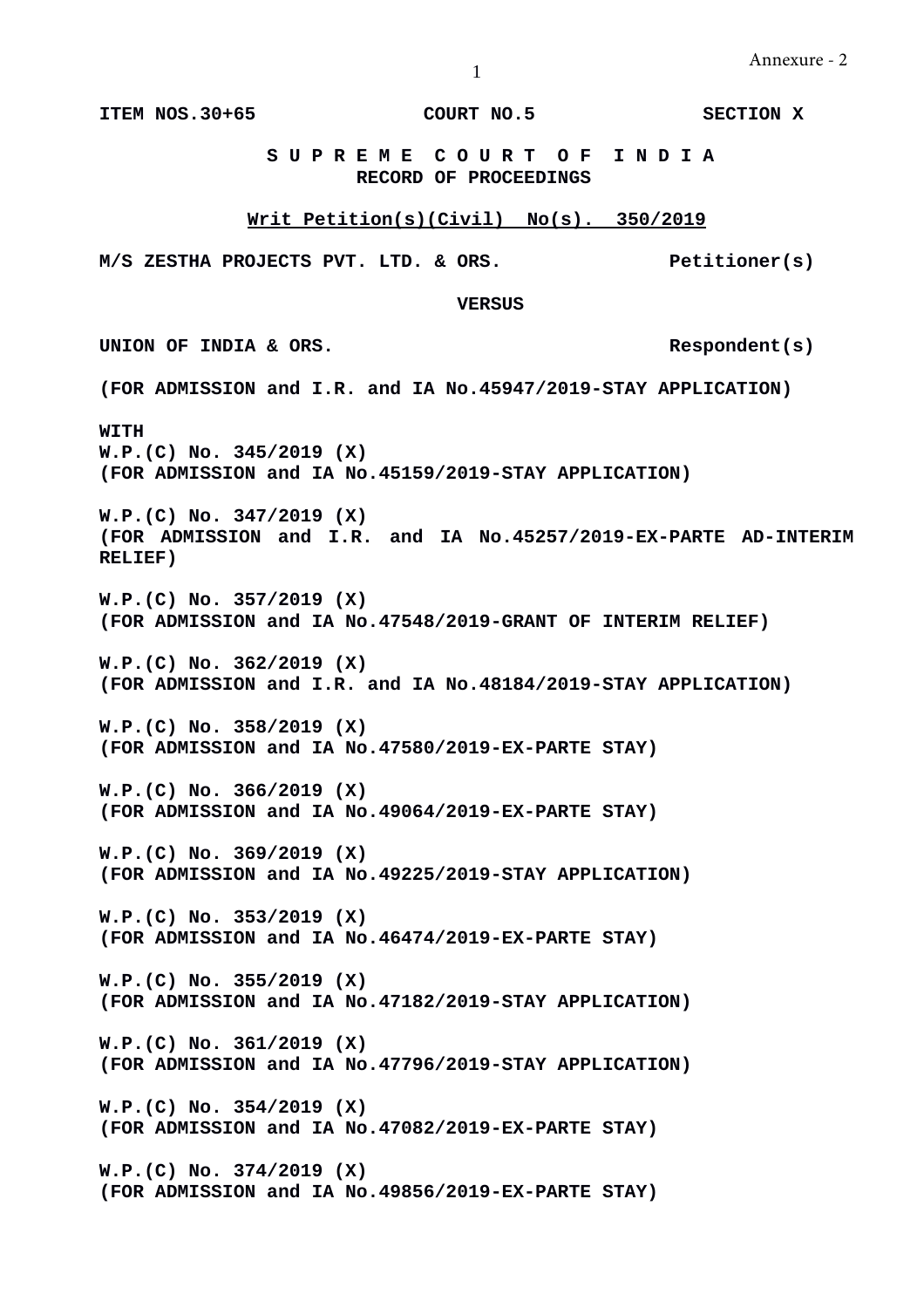1

**ITEM NOS.30+65 COURT NO.5 SECTION X**

**S U P R E M E C O U R T O F I N D I A RECORD OF PROCEEDINGS**

# **Writ Petition(s)(Civil) No(s). 350/2019**

**M/S ZESTHA PROJECTS PVT. LTD. & ORS. Petitioner(s)**

**VERSUS**

UNION OF INDIA & ORS.

**(FOR ADMISSION and I.R. and IA No.45947/2019-STAY APPLICATION)**

**WITH W.P.(C) No. 345/2019 (X) (FOR ADMISSION and IA No.45159/2019-STAY APPLICATION)**

**W.P.(C) No. 347/2019 (X) (FOR ADMISSION and I.R. and IA No.45257/2019-EX-PARTE AD-INTERIM RELIEF)**

**W.P.(C) No. 357/2019 (X) (FOR ADMISSION and IA No.47548/2019-GRANT OF INTERIM RELIEF)**

**W.P.(C) No. 362/2019 (X) (FOR ADMISSION and I.R. and IA No.48184/2019-STAY APPLICATION)**

**W.P.(C) No. 358/2019 (X) (FOR ADMISSION and IA No.47580/2019-EX-PARTE STAY)**

**W.P.(C) No. 366/2019 (X) (FOR ADMISSION and IA No.49064/2019-EX-PARTE STAY)**

**W.P.(C) No. 369/2019 (X) (FOR ADMISSION and IA No.49225/2019-STAY APPLICATION)**

**W.P.(C) No. 353/2019 (X) (FOR ADMISSION and IA No.46474/2019-EX-PARTE STAY)**

**W.P.(C) No. 355/2019 (X) (FOR ADMISSION and IA No.47182/2019-STAY APPLICATION)**

**W.P.(C) No. 361/2019 (X) (FOR ADMISSION and IA No.47796/2019-STAY APPLICATION)**

**W.P.(C) No. 354/2019 (X) (FOR ADMISSION and IA No.47082/2019-EX-PARTE STAY)**

**W.P.(C) No. 374/2019 (X) (FOR ADMISSION and IA No.49856/2019-EX-PARTE STAY)**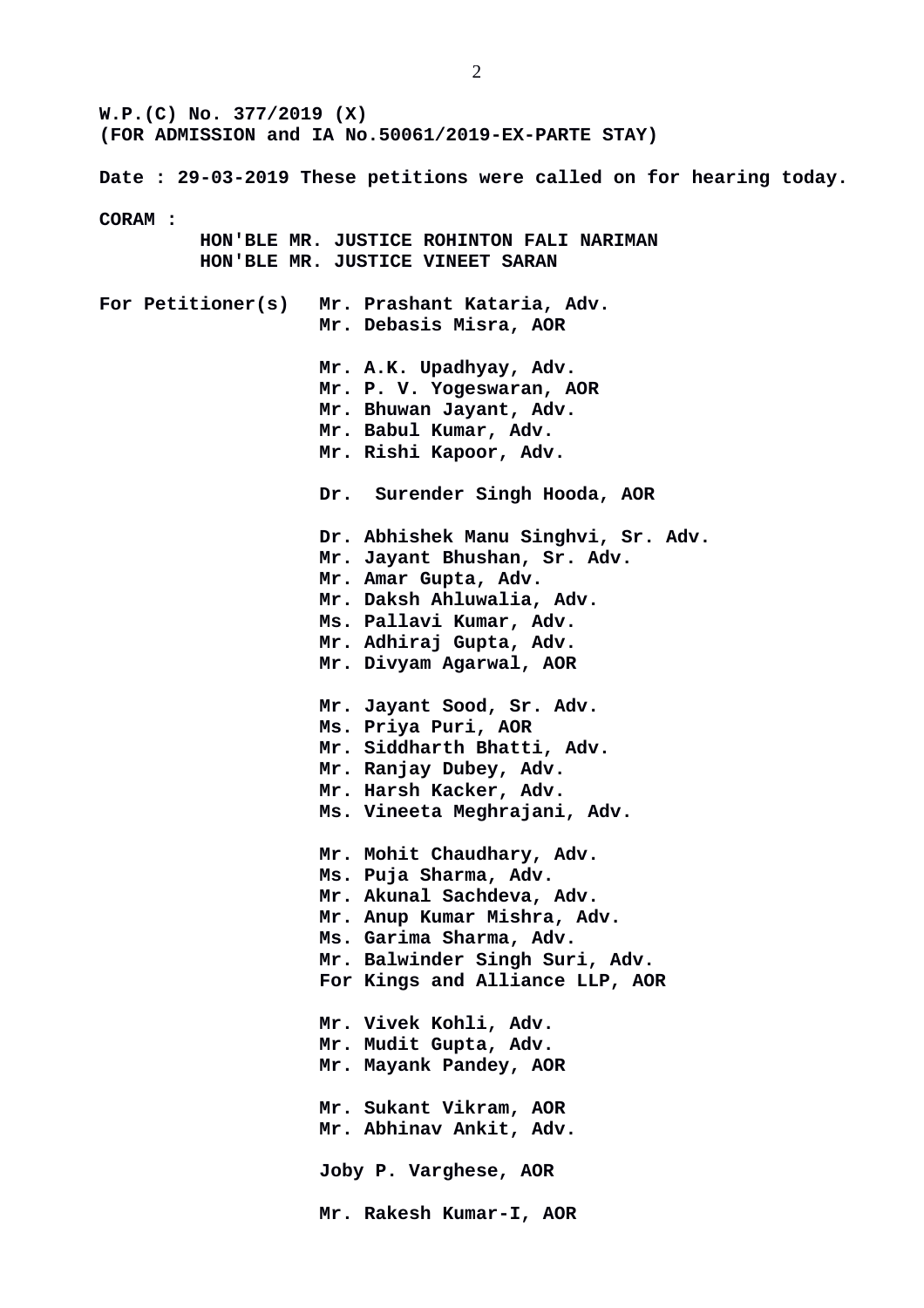**W.P.(C) No. 377/2019 (X) (FOR ADMISSION and IA No.50061/2019-EX-PARTE STAY) Date : 29-03-2019 These petitions were called on for hearing today. CORAM : HON'BLE MR. JUSTICE ROHINTON FALI NARIMAN HON'BLE MR. JUSTICE VINEET SARAN For Petitioner(s) Mr. Prashant Kataria, Adv. Mr. Debasis Misra, AOR Mr. A.K. Upadhyay, Adv. Mr. P. V. Yogeswaran, AOR Mr. Bhuwan Jayant, Adv. Mr. Babul Kumar, Adv. Mr. Rishi Kapoor, Adv. Dr. Surender Singh Hooda, AOR Dr. Abhishek Manu Singhvi, Sr. Adv. Mr. Jayant Bhushan, Sr. Adv. Mr. Amar Gupta, Adv. Mr. Daksh Ahluwalia, Adv. Ms. Pallavi Kumar, Adv. Mr. Adhiraj Gupta, Adv. Mr. Divyam Agarwal, AOR Mr. Jayant Sood, Sr. Adv. Ms. Priya Puri, AOR Mr. Siddharth Bhatti, Adv. Mr. Ranjay Dubey, Adv. Mr. Harsh Kacker, Adv. Ms. Vineeta Meghrajani, Adv. Mr. Mohit Chaudhary, Adv. Ms. Puja Sharma, Adv. Mr. Akunal Sachdeva, Adv. Mr. Anup Kumar Mishra, Adv. Ms. Garima Sharma, Adv. Mr. Balwinder Singh Suri, Adv. For Kings and Alliance LLP, AOR Mr. Vivek Kohli, Adv. Mr. Mudit Gupta, Adv. Mr. Mayank Pandey, AOR Mr. Sukant Vikram, AOR Mr. Abhinav Ankit, Adv. Joby P. Varghese, AOR Mr. Rakesh Kumar-I, AOR**